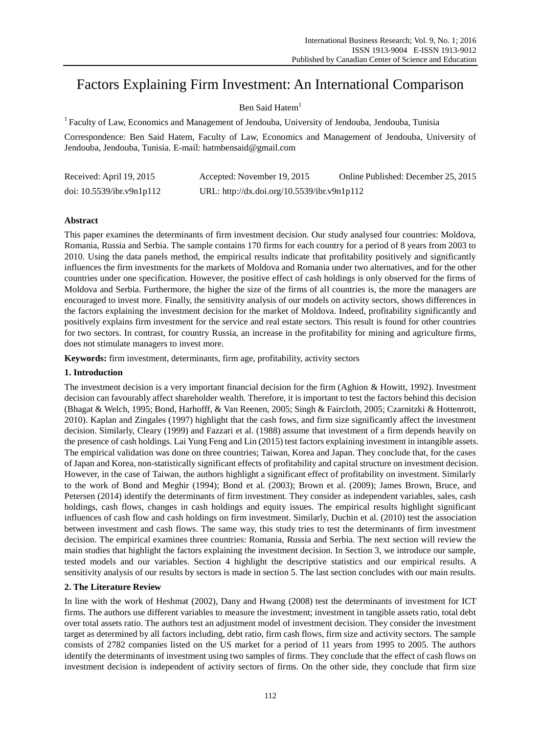# Factors Explaining Firm Investment: An International Comparison

# Ben Said Hatem<sup>1</sup>

<sup>1</sup> Faculty of Law, Economics and Management of Jendouba, University of Jendouba, Jendouba, Tunisia

Correspondence: Ben Said Hatem, Faculty of Law, Economics and Management of Jendouba, University of Jendouba, Jendouba, Tunisia. E-mail: hatmbensaid@gmail.com

| Received: April 19, 2015     | Accepted: November 19, 2015                 | Online Published: December 25, 2015 |
|------------------------------|---------------------------------------------|-------------------------------------|
| doi: $10.5539$ /ibr.v9n1p112 | URL: http://dx.doi.org/10.5539/ibr.v9n1p112 |                                     |

# **Abstract**

This paper examines the determinants of firm investment decision. Our study analysed four countries: Moldova, Romania, Russia and Serbia. The sample contains 170 firms for each country for a period of 8 years from 2003 to 2010. Using the data panels method, the empirical results indicate that profitability positively and significantly influences the firm investments for the markets of Moldova and Romania under two alternatives, and for the other countries under one specification. However, the positive effect of cash holdings is only observed for the firms of Moldova and Serbia. Furthermore, the higher the size of the firms of all countries is, the more the managers are encouraged to invest more. Finally, the sensitivity analysis of our models on activity sectors, shows differences in the factors explaining the investment decision for the market of Moldova. Indeed, profitability significantly and positively explains firm investment for the service and real estate sectors. This result is found for other countries for two sectors. In contrast, for country Russia, an increase in the profitability for mining and agriculture firms, does not stimulate managers to invest more.

**Keywords:** firm investment, determinants, firm age, profitability, activity sectors

# **1. Introduction**

The investment decision is a very important financial decision for the firm (Aghion & Howitt, 1992). Investment decision can favourably affect shareholder wealth. Therefore, it is important to test the factors behind this decision (Bhagat & Welch, 1995; Bond, Harhofff, & Van Reenen, 2005; Singh & Faircloth, 2005; Czarnitzki & Hottenrott, 2010). Kaplan and Zingales (1997) highlight that the cash fows, and firm size significantly affect the investment decision. Similarly, Cleary (1999) and Fazzari et al. (1988) assume that investment of a firm depends heavily on the presence of cash holdings. Lai Yung Feng and Lin (2015) test factors explaining investment in intangible assets. The empirical validation was done on three countries; Taiwan, Korea and Japan. They conclude that, for the cases of Japan and Korea, non-statistically significant effects of profitability and capital structure on investment decision. However, in the case of Taiwan, the authors highlight a significant effect of profitability on investment. Similarly to the work of Bond and Meghir (1994); Bond et al. (2003); Brown et al. (2009); James Brown, Bruce, and Petersen (2014) identify the determinants of firm investment. They consider as independent variables, sales, cash holdings, cash flows, changes in cash holdings and equity issues. The empirical results highlight significant influences of cash flow and cash holdings on firm investment. Similarly, Duchin et al. (2010) test the association between investment and cash flows. The same way, this study tries to test the determinants of firm investment decision. The empirical examines three countries: Romania, Russia and Serbia. The next section will review the main studies that highlight the factors explaining the investment decision. In Section 3, we introduce our sample, tested models and our variables. Section 4 highlight the descriptive statistics and our empirical results. A sensitivity analysis of our results by sectors is made in section 5. The last section concludes with our main results.

# **2. The Literature Review**

In line with the work of Heshmat (2002), Dany and Hwang (2008) test the determinants of investment for ICT firms. The authors use different variables to measure the investment; investment in tangible assets ratio, total debt over total assets ratio. The authors test an adjustment model of investment decision. They consider the investment target as determined by all factors including, debt ratio, firm cash flows, firm size and activity sectors. The sample consists of 2782 companies listed on the US market for a period of 11 years from 1995 to 2005. The authors identify the determinants of investment using two samples of firms. They conclude that the effect of cash flows on investment decision is independent of activity sectors of firms. On the other side, they conclude that firm size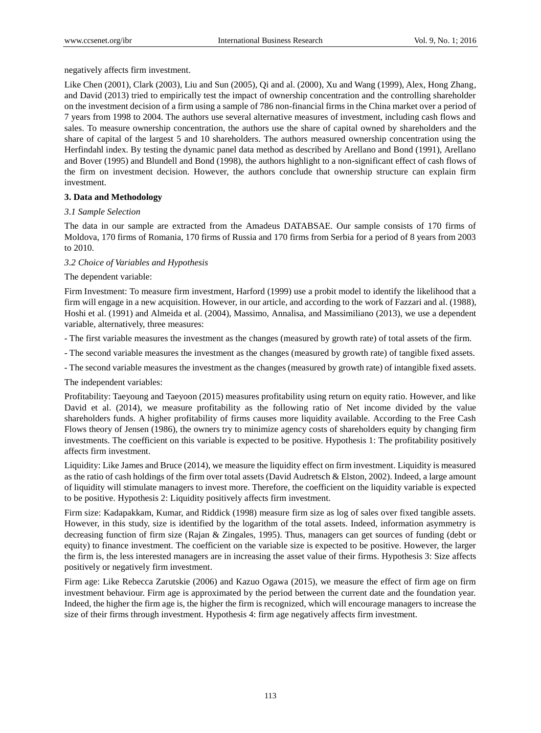negatively affects firm investment.

Like Chen (2001), Clark (2003), Liu and Sun (2005), Qi and al. (2000), Xu and Wang (1999), Alex, Hong Zhang, and David (2013) tried to empirically test the impact of ownership concentration and the controlling shareholder on the investment decision of a firm using a sample of 786 non-financial firms in the China market over a period of 7 years from 1998 to 2004. The authors use several alternative measures of investment, including cash flows and sales. To measure ownership concentration, the authors use the share of capital owned by shareholders and the share of capital of the largest 5 and 10 shareholders. The authors measured ownership concentration using the Herfindahl index. By testing the dynamic panel data method as described by Arellano and Bond (1991), Arellano and Bover (1995) and Blundell and Bond (1998), the authors highlight to a non-significant effect of cash flows of the firm on investment decision. However, the authors conclude that ownership structure can explain firm investment.

# **3. Data and Methodology**

# *3.1 Sample Selection*

The data in our sample are extracted from the Amadeus DATABSAE. Our sample consists of 170 firms of Moldova, 170 firms of Romania, 170 firms of Russia and 170 firms from Serbia for a period of 8 years from 2003 to 2010.

# *3.2 Choice of Variables and Hypothesis*

# The dependent variable:

Firm Investment: To measure firm investment, Harford (1999) use a probit model to identify the likelihood that a firm will engage in a new acquisition. However, in our article, and according to the work of Fazzari and al. (1988), Hoshi et al. (1991) and Almeida et al. (2004), Massimo, Annalisa, and Massimiliano (2013), we use a dependent variable, alternatively, three measures:

- The first variable measures the investment as the changes (measured by growth rate) of total assets of the firm.
- The second variable measures the investment as the changes (measured by growth rate) of tangible fixed assets.
- The second variable measures the investment as the changes (measured by growth rate) of intangible fixed assets.

The independent variables:

Profitability: Taeyoung and Taeyoon (2015) measures profitability using return on equity ratio. However, and like David et al. (2014), we measure profitability as the following ratio of Net income divided by the value shareholders funds. A higher profitability of firms causes more liquidity available. According to the Free Cash Flows theory of Jensen (1986), the owners try to minimize agency costs of shareholders equity by changing firm investments. The coefficient on this variable is expected to be positive. Hypothesis 1: The profitability positively affects firm investment.

Liquidity: Like James and Bruce (2014), we measure the liquidity effect on firm investment. Liquidity is measured as the ratio of cash holdings of the firm over total assets (David Audretsch & Elston, 2002). Indeed, a large amount of liquidity will stimulate managers to invest more. Therefore, the coefficient on the liquidity variable is expected to be positive. Hypothesis 2: Liquidity positively affects firm investment.

Firm size: Kadapakkam, Kumar, and Riddick (1998) measure firm size as log of sales over fixed tangible assets. However, in this study, size is identified by the logarithm of the total assets. Indeed, information asymmetry is decreasing function of firm size (Rajan & Zingales, 1995). Thus, managers can get sources of funding (debt or equity) to finance investment. The coefficient on the variable size is expected to be positive. However, the larger the firm is, the less interested managers are in increasing the asset value of their firms. Hypothesis 3: Size affects positively or negatively firm investment.

Firm age: Like Rebecca Zarutskie (2006) and Kazuo Ogawa (2015), we measure the effect of firm age on firm investment behaviour. Firm age is approximated by the period between the current date and the foundation year. Indeed, the higher the firm age is, the higher the firm is recognized, which will encourage managers to increase the size of their firms through investment. Hypothesis 4: firm age negatively affects firm investment.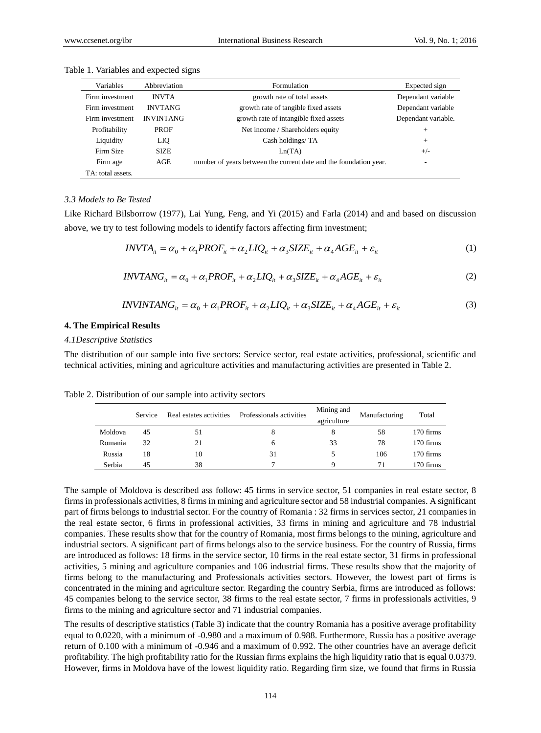| Variables         | Abbreviation     | Formulation                                                       | Expected sign       |
|-------------------|------------------|-------------------------------------------------------------------|---------------------|
| Firm investment   | <b>INVTA</b>     | growth rate of total assets                                       | Dependant variable  |
| Firm investment   | <b>INVTANG</b>   | growth rate of tangible fixed assets                              | Dependant variable  |
| Firm investment   | <b>INVINTANG</b> | growth rate of intangible fixed assets                            | Dependant variable. |
| Profitability     | <b>PROF</b>      | Net income / Shareholders equity                                  | $\pm$               |
| Liquidity         | LIQ              | Cash holdings/TA                                                  | $+$                 |
| Firm Size         | <b>SIZE</b>      | Ln(TA)                                                            | $+/-$               |
| Firm age          | AGE              | number of years between the current date and the foundation year. | ۰                   |
| TA: total assets. |                  |                                                                   |                     |

Table 1. Variables and expected signs

#### *3.3 Models to Be Tested*

Like Richard Bilsborrow (1977), Lai Yung, Feng, and Yi (2015) and Farla (2014) and and based on discussion above, we try to test following models to identify factors affecting firm investment;

$$
INVTA_{it} = \alpha_0 + \alpha_1 PROF_{it} + \alpha_2 LIQ_{it} + \alpha_3 SIZE_{it} + \alpha_4 AGE_{it} + \varepsilon_{it}
$$
\n<sup>(1)</sup>

$$
INVTANG_{it} = \alpha_0 + \alpha_1 PROF_{it} + \alpha_2 LIQ_{it} + \alpha_3 SIZE_{it} + \alpha_4 AGE_{it} + \varepsilon_{it}
$$
\n(2)

$$
INVINTANG_{it} = \alpha_0 + \alpha_1 PROF_{it} + \alpha_2 LIQ_{it} + \alpha_3 SIZE_{it} + \alpha_4 AGE_{it} + \varepsilon_{it}
$$
\n(3)

### **4. The Empirical Results**

#### *4.1Descriptive Statistics*

The distribution of our sample into five sectors: Service sector, real estate activities, professional, scientific and technical activities, mining and agriculture activities and manufacturing activities are presented in Table 2.

|         | Service | Real estates activities | Professionals activities | Mining and<br>agriculture | Manufacturing | Total     |
|---------|---------|-------------------------|--------------------------|---------------------------|---------------|-----------|
| Moldova | 45      | 51                      | 8                        |                           | 58            | 170 firms |
| Romania | 32      | 21                      | h                        | 33                        | 78            | 170 firms |
| Russia  | 18      | 10                      | 31                       |                           | 106           | 170 firms |
| Serbia  | 45      | 38                      |                          |                           |               | 170 firms |

Table 2. Distribution of our sample into activity sectors

The sample of Moldova is described ass follow: 45 firms in service sector, 51 companies in real estate sector, 8 firms in professionals activities, 8 firms in mining and agriculture sector and 58 industrial companies. A significant part of firms belongs to industrial sector. For the country of Romania : 32 firms in services sector, 21 companies in the real estate sector, 6 firms in professional activities, 33 firms in mining and agriculture and 78 industrial companies. These results show that for the country of Romania, most firms belongs to the mining, agriculture and industrial sectors. A significant part of firms belongs also to the service business. For the country of Russia, firms are introduced as follows: 18 firms in the service sector, 10 firms in the real estate sector, 31 firms in professional activities, 5 mining and agriculture companies and 106 industrial firms. These results show that the majority of firms belong to the manufacturing and Professionals activities sectors. However, the lowest part of firms is concentrated in the mining and agriculture sector. Regarding the country Serbia, firms are introduced as follows: 45 companies belong to the service sector, 38 firms to the real estate sector, 7 firms in professionals activities, 9 firms to the mining and agriculture sector and 71 industrial companies.

The results of descriptive statistics (Table 3) indicate that the country Romania has a positive average profitability equal to 0.0220, with a minimum of -0.980 and a maximum of 0.988. Furthermore, Russia has a positive average return of 0.100 with a minimum of -0.946 and a maximum of 0.992. The other countries have an average deficit profitability. The high profitability ratio for the Russian firms explains the high liquidity ratio that is equal 0.0379. However, firms in Moldova have of the lowest liquidity ratio. Regarding firm size, we found that firms in Russia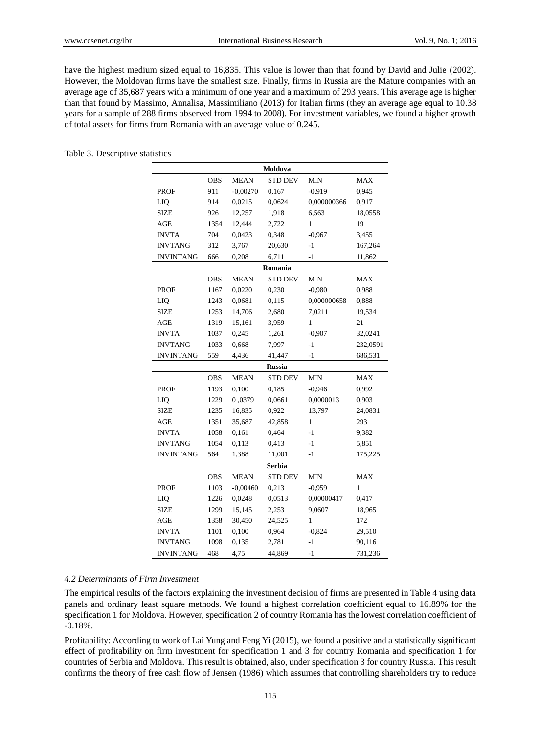have the highest medium sized equal to 16,835. This value is lower than that found by David and Julie (2002). However, the Moldovan firms have the smallest size. Finally, firms in Russia are the Mature companies with an average age of 35,687 years with a minimum of one year and a maximum of 293 years. This average age is higher than that found by Massimo, Annalisa, Massimiliano (2013) for Italian firms (they an average age equal to 10.38 years for a sample of 288 firms observed from 1994 to 2008). For investment variables, we found a higher growth of total assets for firms from Romania with an average value of 0.245.

### Table 3. Descriptive statistics

| Moldova                                                          |                          |             |                |              |            |  |  |  |
|------------------------------------------------------------------|--------------------------|-------------|----------------|--------------|------------|--|--|--|
|                                                                  | <b>OBS</b>               | <b>MEAN</b> | <b>STD DEV</b> | $\text{MIN}$ | <b>MAX</b> |  |  |  |
| <b>PROF</b>                                                      | 911                      | $-0,00270$  | 0,167          | $-0.919$     | 0,945      |  |  |  |
| LIQ                                                              | 914                      | 0,0215      | 0,0624         | 0,000000366  | 0,917      |  |  |  |
| <b>SIZE</b>                                                      | 926                      | 12,257      | 1,918          | 6,563        | 18,0558    |  |  |  |
| <b>AGE</b>                                                       | 1354                     | 12,444      | 2,722          | $\mathbf{1}$ | 19         |  |  |  |
| <b>INVTA</b>                                                     | 704                      | 0,0423      | 0,348          | $-0,967$     | 3,455      |  |  |  |
| <b>INVTANG</b>                                                   | 312                      | 3,767       | 20,630         | $-1$         | 167,264    |  |  |  |
| <b>INVINTANG</b>                                                 | 666                      | 0,208       | 6,711          | $-1$         | 11,862     |  |  |  |
|                                                                  |                          |             | Romania        |              |            |  |  |  |
| <b>OBS</b><br><b>MEAN</b><br><b>STD DEV</b><br><b>MIN</b><br>MAX |                          |             |                |              |            |  |  |  |
| <b>PROF</b>                                                      | 1167                     | 0,0220      | 0,230          | $-0,980$     | 0.988      |  |  |  |
| LIQ                                                              | 1243                     | 0,0681      | 0,115          | 0,000000658  | 0,888      |  |  |  |
| <b>SIZE</b>                                                      | 1253                     | 14,706      | 2,680          | 7,0211       | 19,534     |  |  |  |
| <b>AGE</b>                                                       | 1319                     | 15,161      | 3,959          | $\mathbf{1}$ | 21         |  |  |  |
| <b>INVTA</b>                                                     | 1037                     | 0,245       | 1,261          | $-0,907$     | 32,0241    |  |  |  |
| <b>INVTANG</b>                                                   | 1033                     | 0,668       | 7,997          | $-1$         | 232,0591   |  |  |  |
| <b>INVINTANG</b>                                                 | 559<br>4,436             |             | 41,447         | $-1$         | 686,531    |  |  |  |
|                                                                  |                          |             | <b>Russia</b>  |              |            |  |  |  |
|                                                                  | <b>OBS</b>               | <b>MEAN</b> | <b>STD DEV</b> | <b>MIN</b>   | <b>MAX</b> |  |  |  |
| <b>PROF</b>                                                      | 1193                     | 0,100       | 0,185          | $-0,946$     | 0,992      |  |  |  |
| LIQ                                                              | 0,0379<br>1229<br>0,0661 |             | 0,0000013      | 0,903        |            |  |  |  |
| <b>SIZE</b>                                                      | 1235                     | 16,835      | 0,922          | 13,797       | 24,0831    |  |  |  |
| AGE                                                              | 35,687<br>1351<br>42,858 |             | $\mathbf{1}$   | 293          |            |  |  |  |
| <b>INVTA</b>                                                     | 1058<br>0,161<br>0,464   |             |                | $-1$         | 9,382      |  |  |  |
| <b>INVTANG</b>                                                   | 1054<br>0,113<br>0,413   |             |                | $-1$         | 5,851      |  |  |  |
| <b>INVINTANG</b>                                                 | 564                      | 1,388       | 11,001         | $-1$         | 175,225    |  |  |  |
| <b>Serbia</b>                                                    |                          |             |                |              |            |  |  |  |
|                                                                  | <b>OBS</b>               | <b>MEAN</b> | <b>STD DEV</b> | <b>MIN</b>   | <b>MAX</b> |  |  |  |
| <b>PROF</b>                                                      | 1103                     | $-0,00460$  | 0,213          | $-0,959$     | 1          |  |  |  |
| LIQ                                                              | 1226                     | 0,0248      | 0,0513         | 0,00000417   | 0,417      |  |  |  |
| <b>SIZE</b>                                                      | 1299                     | 15,145      | 2,253          | 9,0607       | 18,965     |  |  |  |
| <b>AGE</b>                                                       | 1358                     | 30,450      | 24,525         | $\mathbf{1}$ | 172        |  |  |  |
| <b>INVTA</b>                                                     | 1101                     | 0,100       | 0,964          | $-0,824$     | 29,510     |  |  |  |
| <b>INVTANG</b><br>1098<br>0,135<br>2,781                         |                          |             | $-1$           | 90,116       |            |  |  |  |
| <b>INVINTANG</b>                                                 | 468                      | 4,75        | 44,869         | $-1$         | 731,236    |  |  |  |

### *4.2 Determinants of Firm Investment*

The empirical results of the factors explaining the investment decision of firms are presented in Table 4 using data panels and ordinary least square methods. We found a highest correlation coefficient equal to 16.89% for the specification 1 for Moldova. However, specification 2 of country Romania has the lowest correlation coefficient of -0.18%.

Profitability: According to work of Lai Yung and Feng Yi (2015), we found a positive and a statistically significant effect of profitability on firm investment for specification 1 and 3 for country Romania and specification 1 for countries of Serbia and Moldova. This result is obtained, also, under specification 3 for country Russia. This result confirms the theory of free cash flow of Jensen (1986) which assumes that controlling shareholders try to reduce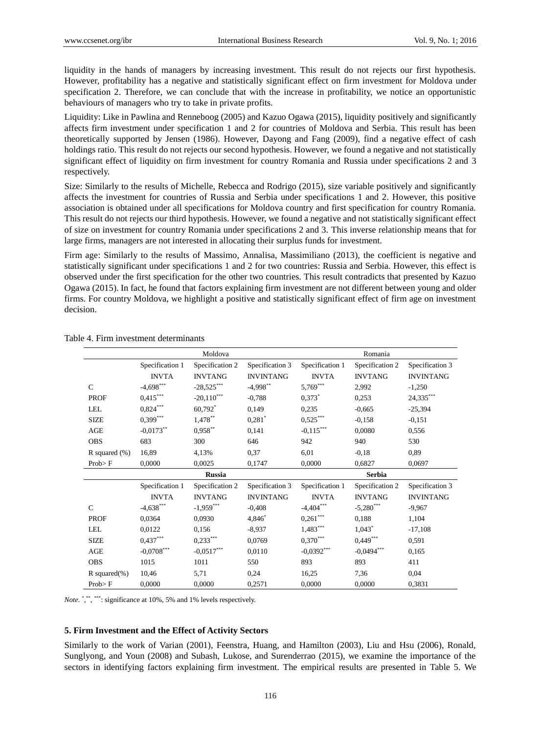liquidity in the hands of managers by increasing investment. This result do not rejects our first hypothesis. However, profitability has a negative and statistically significant effect on firm investment for Moldova under specification 2. Therefore, we can conclude that with the increase in profitability, we notice an opportunistic behaviours of managers who try to take in private profits.

Liquidity: Like in Pawlina and Renneboog (2005) and Kazuo Ogawa (2015), liquidity positively and significantly affects firm investment under specification 1 and 2 for countries of Moldova and Serbia. This result has been theoretically supported by Jensen (1986). However, Dayong and Fang (2009), find a negative effect of cash holdings ratio. This result do not rejects our second hypothesis. However, we found a negative and not statistically significant effect of liquidity on firm investment for country Romania and Russia under specifications 2 and 3 respectively.

Size: Similarly to the results of Michelle, Rebecca and Rodrigo (2015), size variable positively and significantly affects the investment for countries of Russia and Serbia under specifications 1 and 2. However, this positive association is obtained under all specifications for Moldova country and first specification for country Romania. This result do not rejects our third hypothesis. However, we found a negative and not statistically significant effect of size on investment for country Romania under specifications 2 and 3. This inverse relationship means that for large firms, managers are not interested in allocating their surplus funds for investment.

Firm age: Similarly to the results of Massimo, Annalisa, Massimiliano (2013), the coefficient is negative and statistically significant under specifications 1 and 2 for two countries: Russia and Serbia. However, this effect is observed under the first specification for the other two countries. This result contradicts that presented by Kazuo Ogawa (2015). In fact, he found that factors explaining firm investment are not different between young and older firms. For country Moldova, we highlight a positive and statistically significant effect of firm age on investment decision.

|                  |                                    | Moldova              |                                  | Romania         |                      |                  |  |
|------------------|------------------------------------|----------------------|----------------------------------|-----------------|----------------------|------------------|--|
|                  | Specification 2<br>Specification 1 |                      | Specification 3                  | Specification 1 | Specification 2      | Specification 3  |  |
|                  | <b>INVTA</b><br><b>INVTANG</b>     |                      | <b>INVINTANG</b>                 | <b>INVTA</b>    | <b>INVTANG</b>       | <b>INVINTANG</b> |  |
| $\mathcal{C}$    | $-4,698$ ***                       | $-28,525***$         | $-4,998$ **                      | $5,769***$      | 2,992                | $-1,250$         |  |
| <b>PROF</b>      | $0,415***$                         | $-20,110$ ***        | $0,373$ <sup>*</sup><br>$-0,788$ |                 | 0,253                | $24,335***$      |  |
| <b>LEL</b>       | $0,824***$                         | 60,792 $*$           | 0.149                            | 0.235           | $-0,665$             | $-25,394$        |  |
| <b>SIZE</b>      | $0,399***$                         | $1,478***$           | $0,281$ <sup>*</sup>             | $0,525***$      | $-0.158$             | $-0.151$         |  |
| AGE              | $-0,0173$ **                       | $0{,}958^{\ast\ast}$ | 0,141                            | $-0,115***$     | 0,0080               | 0,556            |  |
| <b>OBS</b>       | 683                                | 300                  | 646                              | 942             | 940                  | 530              |  |
| R squared $(\%)$ | 16,89                              | 4,13%                | 0,37                             | 6,01            | $-0,18$              | 0.89             |  |
| $Prob$ F         | 0,0000<br>0,0025<br>0,1747         |                      | 0,0000                           | 0,0697          |                      |                  |  |
|                  | <b>Russia</b>                      |                      |                                  | <b>Serbia</b>   |                      |                  |  |
|                  |                                    |                      |                                  |                 |                      |                  |  |
|                  | Specification 1                    | Specification 2      | Specification 3                  | Specification 1 | Specification 2      | Specification 3  |  |
|                  | <b>INVTA</b>                       | <b>INVTANG</b>       | <b>INVINTANG</b>                 | <b>INVTA</b>    | <b>INVTANG</b>       | <b>INVINTANG</b> |  |
| $\mathcal{C}$    | $-4,638$ ***                       | $-1,959***$          | $-0,408$                         | $-4,404$ ***    | $-5,280$ ***         | $-9,967$         |  |
| <b>PROF</b>      | 0,0364                             | 0,0930               | 4,846                            | $0,261***$      | 0.188                | 1,104            |  |
| <b>LEL</b>       | 0,0122                             | 0,156                | $-8,937$                         | $1,483***$      | $1,043$ <sup>*</sup> | $-17,108$        |  |
| <b>SIZE</b>      | $0,437***$                         | $0,233***$           | 0,0769                           | $0,370***$      | $0,449***$           | 0.591            |  |
| AGE              | $-0,0708$ ***                      | $-0,0517***$         | 0,0110                           | $-0,0392***$    | $-0,0494***$         | 0.165            |  |
| <b>OBS</b>       | 1015                               | 1011                 | 550                              | 893             | 893                  | 411              |  |
| R squared $(\%)$ | 10,46                              | 5,71                 | 0,24                             | 16,25           | 7,36                 | 0,04             |  |

Table 4. Firm investment determinants

Note.<sup>\*</sup>,\*\*\*\*\*\*\*: significance at 10%, 5% and 1% levels respectively.

# **5. Firm Investment and the Effect of Activity Sectors**

Similarly to the work of Varian (2001), Feenstra, Huang, and Hamilton (2003), Liu and Hsu (2006), Ronald, Sunglyong, and Youn (2008) and Subash, Lukose, and Surenderrao (2015), we examine the importance of the sectors in identifying factors explaining firm investment. The empirical results are presented in Table 5. We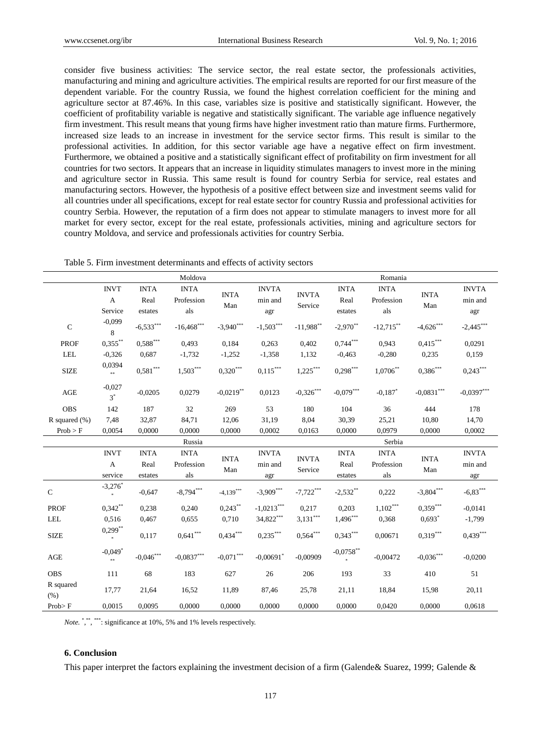consider five business activities: The service sector, the real estate sector, the professionals activities, manufacturing and mining and agriculture activities. The empirical results are reported for our first measure of the dependent variable. For the country Russia, we found the highest correlation coefficient for the mining and agriculture sector at 87.46%. In this case, variables size is positive and statistically significant. However, the coefficient of profitability variable is negative and statistically significant. The variable age influence negatively firm investment. This result means that young firms have higher investment ratio than mature firms. Furthermore, increased size leads to an increase in investment for the service sector firms. This result is similar to the professional activities. In addition, for this sector variable age have a negative effect on firm investment. Furthermore, we obtained a positive and a statistically significant effect of profitability on firm investment for all countries for two sectors. It appears that an increase in liquidity stimulates managers to invest more in the mining and agriculture sector in Russia. This same result is found for country Serbia for service, real estates and manufacturing sectors. However, the hypothesis of a positive effect between size and investment seems valid for all countries under all specifications, except for real estate sector for country Russia and professional activities for country Serbia. However, the reputation of a firm does not appear to stimulate managers to invest more for all market for every sector, except for the real estate, professionals activities, mining and agriculture sectors for country Moldova, and service and professionals activities for country Serbia.

Table 5. Firm investment determinants and effects of activity sectors

| Moldova           |                                        |                                |                                   |                         | Romania                        |                                  |                                |                                  |                           |                                |
|-------------------|----------------------------------------|--------------------------------|-----------------------------------|-------------------------|--------------------------------|----------------------------------|--------------------------------|----------------------------------|---------------------------|--------------------------------|
|                   | <b>INVT</b><br>$\mathbf{A}$<br>Service | <b>INTA</b><br>Real<br>estates | <b>INTA</b><br>Profession<br>als  | <b>INTA</b><br>Man      | <b>INVTA</b><br>min and<br>agr | <b>INVTA</b><br>Service          | <b>INTA</b><br>Real<br>estates | <b>INTA</b><br>Profession<br>als | <b>INTA</b><br>Man        | <b>INVTA</b><br>min and<br>agr |
| $\mathsf C$       | $-0,099$<br>8                          | $-6,533***$                    | $\textbf{-16,468}^{\ast\ast\ast}$ | $-3,940***$             | $\text{-}1,\!503^{***}$        | $-11,988$ **                     | $-2,970$ **                    | $-12,715$ **                     | $-4{,}626^{\ast\ast\ast}$ | $\text{-}2,\!445^{***}$        |
| <b>PROF</b>       | $0,355***$                             | $0,588***$                     | 0.493                             | 0,184                   | 0,263                          | 0,402                            | $0,744***$                     | 0,943                            | $0,415***$                | 0,0291                         |
| <b>LEL</b>        | $-0,326$                               | 0,687                          | $-1,732$                          | $-1,252$                | $-1,358$                       | 1,132                            | $-0,463$                       | $-0,280$                         | 0,235                     | 0,159                          |
| <b>SIZE</b>       | 0,0394<br>$\ast\ast$                   | $0,\!581^{***}$                | $1,503***$                        | $0,320***$              | $0,\!115^{***}$                | $1{,}225^\ast{}^{\ast}{}^{\ast}$ | $0,298***$                     | $1,0706$ **                      | $0,386$ ***               | ${0,}{243}^{\ast\ast\ast}$     |
| AGE               | $-0,027$<br>$3^*$                      | $-0,0205$                      | 0.0279                            | $-0,0219$ <sup>**</sup> | 0.0123                         | $-0,326$ ***                     | $-0,079$ ***                   | $-0.187$ <sup>*</sup>            | $-0,0831$ ***             | $-0,0397***$                   |
| <b>OBS</b>        | 142                                    | 187                            | 32                                | 269                     | 53                             | 180                              | 104                            | 36                               | 444                       | 178                            |
| R squared $(\% )$ | 7,48                                   | 32,87                          | 84,71                             | 12,06                   | 31,19                          | 8,04                             | 30,39                          | 25,21                            | 10,80                     | 14,70                          |
| Prob > F          | 0,0054                                 | 0,0000                         | 0,0000                            | 0,0000                  | 0,0002                         | 0,0163                           | 0,0000                         | 0.0979                           | 0,0000                    | 0,0002                         |
|                   |                                        |                                | Russia                            |                         |                                |                                  |                                | Serbia                           |                           |                                |
|                   | <b>INVT</b><br>A<br>service            | <b>INTA</b><br>Real<br>estates | <b>INTA</b><br>Profession<br>als  | <b>INTA</b><br>Man      | <b>INVTA</b><br>min and<br>agr | <b>INVTA</b><br>Service          | <b>INTA</b><br>Real<br>estates | <b>INTA</b><br>Profession<br>als | <b>INTA</b><br>Man        | <b>INVTA</b><br>min and<br>agr |
| $\mathbf C$       | $-3,276$ *                             | $-0,647$                       | $-8,794***$                       | $-4,139***$             | $-3,909***$                    | $-7,722***$                      | $-2,532$ **                    | 0,222                            | $-3,804***$               | $-6,83***$                     |
| <b>PROF</b>       | $0,342**$                              | 0,238                          | 0,240                             | $0,243***$              | $-1,0213***$                   | 0,217                            | 0,203                          | $1,102***$                       | $0,359***$                | $-0.0141$                      |
| <b>LEL</b>        | 0,516                                  | 0,467                          | 0,655                             | 0,710                   | 34,822***                      | $3,131***$                       | $1,496***$                     | 0,368                            | $0.693*$                  | $-1,799$                       |
| <b>SIZE</b>       | $0,299***$<br>$\pm$                    | 0,117                          | $0,641***$                        | $0,434***$              | $0,235***$                     | $0,564***$                       | $0,343***$                     | 0,00671                          | $0,319***$                | $0,439***$                     |
| AGE               | $-0,049$ <sup>*</sup><br>$***$         | $\textnormal{-}0,\!046^{***}$  | $-0,0837***$                      | $-0.071***$             | $-0,00691$ <sup>*</sup>        | $-0,00909$                       | $-0,0758$ **                   | $-0.00472$                       | $-0,036***$               | $-0,0200$                      |
| <b>OBS</b>        | 111                                    | 68                             | 183                               | 627                     | 26                             | 206                              | 193                            | 33                               | 410                       | 51                             |
| R squared<br>(% ) | 17,77                                  | 21,64                          | 16,52                             | 11,89                   | 87,46                          | 25,78                            | 21,11                          | 18,84                            | 15,98                     | 20,11                          |
| $Prob$ F          | 0,0015                                 | 0,0095                         | 0,0000                            | 0,0000                  | 0,0000                         | 0,0000                           | 0,0000                         | 0,0420                           | 0,0000                    | 0,0618                         |

Note.<sup>\*</sup>,\*\*\*\*\*\*\*: significance at 10%, 5% and 1% levels respectively.

# **6. Conclusion**

This paper interpret the factors explaining the investment decision of a firm (Galende& Suarez, 1999; Galende &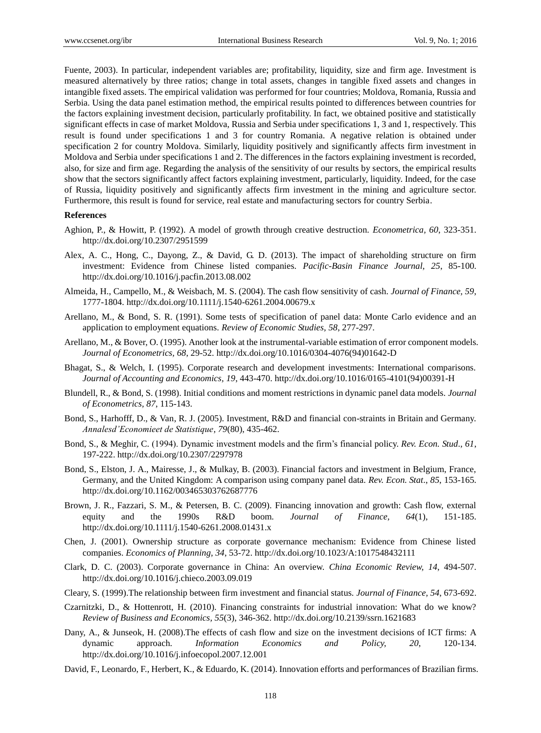Fuente, 2003). In particular, independent variables are; profitability, liquidity, size and firm age. Investment is measured alternatively by three ratios; change in total assets, changes in tangible fixed assets and changes in intangible fixed assets. The empirical validation was performed for four countries; Moldova, Romania, Russia and Serbia. Using the data panel estimation method, the empirical results pointed to differences between countries for the factors explaining investment decision, particularly profitability. In fact, we obtained positive and statistically significant effects in case of market Moldova, Russia and Serbia under specifications 1, 3 and 1, respectively. This result is found under specifications 1 and 3 for country Romania. A negative relation is obtained under specification 2 for country Moldova. Similarly, liquidity positively and significantly affects firm investment in Moldova and Serbia under specifications 1 and 2. The differences in the factors explaining investment is recorded, also, for size and firm age. Regarding the analysis of the sensitivity of our results by sectors, the empirical results show that the sectors significantly affect factors explaining investment, particularly, liquidity. Indeed, for the case of Russia, liquidity positively and significantly affects firm investment in the mining and agriculture sector. Furthermore, this result is found for service, real estate and manufacturing sectors for country Serbia.

### **References**

- Aghion, P., & Howitt, P. (1992). A model of growth through creative destruction. *Econometrica, 60*, 323-351. <http://dx.doi.org/10.2307/2951599>
- Alex, A. C., Hong, C., Dayong, Z., & David, G. D. (2013). The impact of shareholding structure on firm investment: Evidence from Chinese listed companies. *Pacific-Basin Finance Journal, 25*, 85-100. <http://dx.doi.org/10.1016/j.pacfin.2013.08.002>
- Almeida, H., Campello, M., & Weisbach, M. S. (2004). The cash flow sensitivity of cash. *Journal of Finance, 59*, 1777-1804.<http://dx.doi.org/10.1111/j.1540-6261.2004.00679.x>
- Arellano, M., & Bond, S. R. (1991). Some tests of specification of panel data: Monte Carlo evidence and an application to employment equations. *Review of Economic Studies, 58*, 277-297.
- Arellano, M., & Bover, O. (1995). Another look at the instrumental-variable estimation of error component models. *Journal of Econometrics, 68*, 29-52. [http://dx.doi.org/10.1016/0304-4076\(94\)01642-D](http://dx.doi.org/10.1016/0304-4076(94)01642-D)
- Bhagat, S., & Welch, I. (1995). Corporate research and development investments: International comparisons. *Journal of Accounting and Economics, 19*, 443-470. [http://dx.doi.org/10.1016/0165-4101\(94\)00391-H](http://dx.doi.org/10.1016/0165-4101(94)00391-H)
- Blundell, R., & Bond, S. (1998). Initial conditions and moment restrictions in dynamic panel data models. *Journal of Econometrics, 87*, 115-143.
- Bond, S., Harhofff, D., & Van, R. J. (2005). Investment, R&D and financial con-straints in Britain and Germany. *Annalesd'Economieet de Statistique, 79*(80), 435-462.
- Bond, S., & Meghir, C. (1994). Dynamic investment models and the firm's financial policy. *Rev. Econ. Stud., 61*, 197-222.<http://dx.doi.org/10.2307/2297978>
- Bond, S., Elston, J. A., Mairesse, J., & Mulkay, B. (2003). Financial factors and investment in Belgium, France, Germany, and the United Kingdom: A comparison using company panel data. *Rev. Econ. Stat*., *85*, 153-165. <http://dx.doi.org/10.1162/003465303762687776>
- Brown, J. R., Fazzari, S. M., & Petersen, B. C. (2009). Financing innovation and growth: Cash flow, external equity and the 1990s R&D boom. *Journal of Finance, 64*(1), 151-185. <http://dx.doi.org/10.1111/j.1540-6261.2008.01431.x>
- Chen, J. (2001). Ownership structure as corporate governance mechanism: Evidence from Chinese listed companies. *Economics of Planning, 34*, 53-72[. http://dx.doi.org/10.1023/A:1017548432111](http://dx.doi.org/10.1023/A:1017548432111)
- Clark, D. C. (2003). Corporate governance in China: An overview. *China Economic Review, 14*, 494-507. <http://dx.doi.org/10.1016/j.chieco.2003.09.019>
- Cleary, S. (1999).The relationship between firm investment and financial status. *Journal of Finance, 54*, 673-692.
- Czarnitzki, D., & Hottenrott, H. (2010). Financing constraints for industrial innovation: What do we know? *Review of Business and Economics, 55*(3), 346-362[. http://dx.doi.org/10.2139/ssrn.1621683](http://dx.doi.org/10.2139/ssrn.1621683)
- Dany, A., & Junseok, H. (2008).The effects of cash flow and size on the investment decisions of ICT firms: A dynamic approach. *Information Economics and Policy, 20*, 120-134. <http://dx.doi.org/10.1016/j.infoecopol.2007.12.001>
- David, F., Leonardo, F., Herbert, K., & Eduardo, K. (2014). Innovation efforts and performances of Brazilian firms.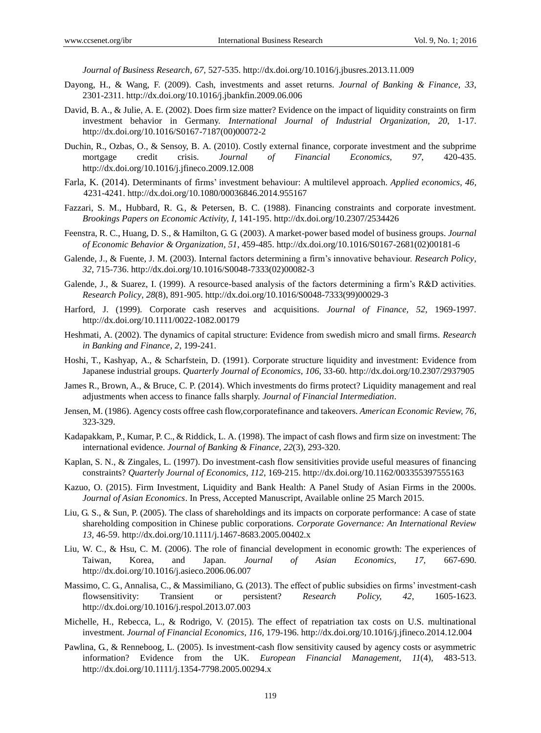*Journal of Business Research, 67,* 527-535[. http://dx.doi.org/10.1016/j.jbusres.2013.11.009](http://dx.doi.org/10.1016/j.jbusres.2013.11.009)

- Dayong, H., & Wang, F. (2009). Cash, investments and asset returns. *Journal of Banking & Finance, 33*, 2301-2311.<http://dx.doi.org/10.1016/j.jbankfin.2009.06.006>
- David, B. A., & Julie, A. E. (2002). Does firm size matter? Evidence on the impact of liquidity constraints on firm investment behavior in Germany. *International Journal of Industrial Organization, 20*, 1-17. [http://dx.doi.org/10.1016/S0167-7187\(00\)00072-2](http://dx.doi.org/10.1016/S0167-7187(00)00072-2)
- Duchin, R., Ozbas, O., & Sensoy, B. A. (2010). Costly external finance, corporate investment and the subprime mortgage credit crisis. *Journal of Financial Economics, 97*, 420-435. <http://dx.doi.org/10.1016/j.jfineco.2009.12.008>
- Farla, K. (2014). Determinants of firms' investment behaviour: A multilevel approach. *Applied economics, 46,* 4231-4241. <http://dx.doi.org/10.1080/00036846.2014.955167>
- Fazzari, S. M., Hubbard, R. G., & Petersen, B. C. (1988). Financing constraints and corporate investment. *Brookings Papers on Economic Activity, I,* 141-195[. http://dx.doi.org/10.2307/2534426](http://dx.doi.org/10.2307/2534426)
- Feenstra, R. C., Huang, D. S., & Hamilton, G. G. (2003). A market-power based model of business groups. *Journal of Economic Behavior & Organization, 51*, 459-485[. http://dx.doi.org/10.1016/S0167-2681\(02\)00181-6](http://dx.doi.org/10.1016/S0167-2681(02)00181-6)
- Galende, J., & Fuente, J. M. (2003). Internal factors determining a firm's innovative behaviour. *Research Policy, 32*, 715-736. [http://dx.doi.org/10.1016/S0048-7333\(02\)00082-3](http://dx.doi.org/10.1016/S0048-7333(02)00082-3)
- Galende, J., & Suarez, I. (1999). A resource-based analysis of the factors determining a firm's R&D activities. *Research Policy, 28*(8), 891-905. [http://dx.doi.org/10.1016/S0048-7333\(99\)00029-3](http://dx.doi.org/10.1016/S0048-7333(99)00029-3)
- Harford, J. (1999). Corporate cash reserves and acquisitions. *Journal of Finance, 52*, 1969-1997. <http://dx.doi.org/10.1111/0022-1082.00179>
- Heshmati, A. (2002). The dynamics of capital structure: Evidence from swedish micro and small firms. *Research in Banking and Finance, 2*, 199-241.
- Hoshi, T., Kashyap, A., & Scharfstein, D. (1991). Corporate structure liquidity and investment: Evidence from Japanese industrial groups. *Quarterly Journal of Economics, 106*, 33-60[. http://dx.doi.org/10.2307/2937905](http://dx.doi.org/10.2307/2937905)
- James R., Brown, A., & Bruce, C. P. (2014). Which investments do firms protect? Liquidity management and real adjustments when access to finance falls sharply. *Journal of Financial Intermediation*.
- Jensen, M. (1986). Agency costs offree cash flow,corporatefinance and takeovers. *American Economic Review, 76*, 323-329.
- Kadapakkam, P., Kumar, P. C., & Riddick, L. A. (1998). The impact of cash flows and firm size on investment: The international evidence. *Journal of Banking & Finance, 22*(3), 293-320.
- Kaplan, S. N., & Zingales, L. (1997). Do investment-cash flow sensitivities provide useful measures of financing constraints? *Quarterly Journal of Economics, 112*, 169-215[. http://dx.doi.org/10.1162/003355397555163](http://dx.doi.org/10.1162/003355397555163)
- Kazuo, O. (2015). Firm Investment, Liquidity and Bank Health: A Panel Study of Asian Firms in the 2000s. *Journal of Asian Economics*. In Press, Accepted Manuscript, Available online 25 March 2015.
- Liu, G. S., & Sun, P. (2005). The class of shareholdings and its impacts on corporate performance: A case of state shareholding composition in Chinese public corporations. *Corporate Governance: An International Review 13,* 46-59.<http://dx.doi.org/10.1111/j.1467-8683.2005.00402.x>
- Liu, W. C., & Hsu, C. M. (2006). The role of financial development in economic growth: The experiences of Taiwan, Korea, and Japan. *Journal of Asian Economics, 17,* 667-690. <http://dx.doi.org/10.1016/j.asieco.2006.06.007>
- Massimo, C. G., Annalisa, C., & Massimiliano, G. (2013). The effect of public subsidies on firms' investment-cash flowsensitivity: Transient or persistent? *Research Policy, 42*, 1605-1623. <http://dx.doi.org/10.1016/j.respol.2013.07.003>
- Michelle, H., Rebecca, L., & Rodrigo, V. (2015). The effect of repatriation tax costs on U.S. multinational investment. *Journal of Financial Economics, 116,* 179-196[. http://dx.doi.org/10.1016/j.jfineco.2014.12.004](http://dx.doi.org/10.1016/j.jfineco.2014.12.004)
- Pawlina, G., & Renneboog, L. (2005). Is investment-cash flow sensitivity caused by agency costs or asymmetric information? Evidence from the UK. *European Financial Management, 11*(4), 483-513. <http://dx.doi.org/10.1111/j.1354-7798.2005.00294.x>